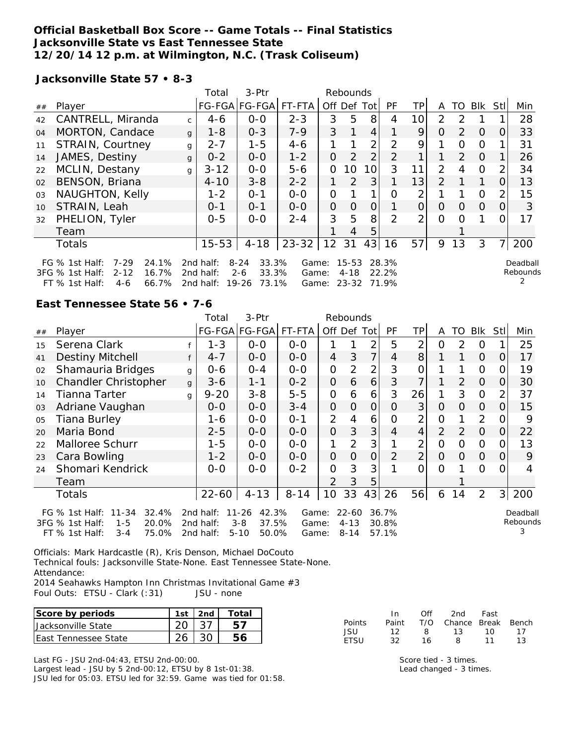### **Official Basketball Box Score -- Game Totals -- Final Statistics Jacksonville State vs East Tennessee State 12/20/14 12 p.m. at Wilmington, N.C. (Trask Coliseum)**

FT % 1st Half: 4-6 66.7% 2nd half: 19-26 73.1% Game: 23-32 71.9%

**Jacksonville State 57 • 8-3**

| Total<br>3-Ptr<br>Rebounds |                                                                                                                        |              |                           |                                                                      |                                     |          |                            |                |                         |                |               |               |            |                |                      |
|----------------------------|------------------------------------------------------------------------------------------------------------------------|--------------|---------------------------|----------------------------------------------------------------------|-------------------------------------|----------|----------------------------|----------------|-------------------------|----------------|---------------|---------------|------------|----------------|----------------------|
| ##                         | Player                                                                                                                 |              |                           | FG-FGA FG-FGA                                                        | FT-FTA                              | Off Def  |                            | Totl           | <b>PF</b>               | TP.            | A             | TO            | <b>BIK</b> | Stl            | Min                  |
| 42                         | CANTRELL, Miranda                                                                                                      | $\mathsf{C}$ | $4 - 6$                   | $0 - 0$                                                              | $2 - 3$                             | 3        | 5                          | 8              | 4                       | 10             | 2             | 2             |            |                | 28                   |
| 04                         | MORTON, Candace                                                                                                        | $\mathbf{q}$ | $1 - 8$                   | $0 - 3$                                                              | $7 - 9$                             | 3        |                            | 4              |                         | 9              | $\Omega$      | $\mathcal{P}$ | $\Omega$   | 0              | 33                   |
| 11                         | STRAIN, Courtney                                                                                                       | g            | $2 - 7$                   | $1 - 5$                                                              | $4 - 6$                             |          |                            | $\overline{2}$ | $\mathcal{P}$           | 9              |               | Ω             | 0          |                | 31                   |
| 14                         | JAMES, Destiny                                                                                                         | $\mathbf{q}$ | $0 - 2$                   | $0 - 0$                                                              | $1 - 2$                             | 0        | 2                          | 2              | 2                       | 1              |               | $\mathcal{P}$ | $\Omega$   |                | 26                   |
| 22                         | MCLIN, Destany                                                                                                         | q            | $3 - 12$                  | $0-0$                                                                | $5 - 6$                             | 0        | 10                         | 10             | 3                       | 11             | $\mathcal{P}$ | 4             | 0          | 2              | 34                   |
| 02                         | BENSON, Briana                                                                                                         |              | $4 - 10$                  | $3 - 8$                                                              | $2 - 2$                             |          | 2                          | 3              |                         | 13             | $\mathcal{P}$ |               | 1          |                | 13                   |
| 03                         | NAUGHTON, Kelly                                                                                                        |              | $1 - 2$                   | $O - 1$                                                              | $0 - 0$                             | 0        |                            |                | Ω                       | 2              |               |               | $\Omega$   | $\mathcal{P}$  | 15                   |
| 10                         | STRAIN, Leah                                                                                                           |              | $0 - 1$                   | $0 - 1$                                                              | $0 - 0$                             | $\Omega$ | $\Omega$                   | $\Omega$       |                         | $\Omega$       | O             | $\Omega$      | $\Omega$   | 0              | 3                    |
| 32                         | PHELION, Tyler                                                                                                         |              | $0 - 5$                   | $0 - 0$                                                              | $2 - 4$                             | 3        | 5                          | 8              | 2                       | $\overline{2}$ | $\Omega$      | Ω             |            |                | 17                   |
|                            | Team                                                                                                                   |              |                           |                                                                      |                                     |          | 4                          | 5              |                         |                |               |               |            |                |                      |
|                            | <b>Totals</b>                                                                                                          |              | $15 - 53$                 | $4 - 18$                                                             | $23 - 32$                           | 12       | 31                         | 43             | 16                      | 57             | 9             | 13            | 3          | 7 <sub>l</sub> | 200                  |
|                            | $7 - 29$<br>24.1%<br>FG $%$ 1st Half:<br>$2 - 12$<br>16.7%<br>3FG % 1st Half:<br>$FT \,$ % 1ct Half $\cdot$<br>$A - A$ |              | 2nd half:<br>2 $nd$ half: | $8 - 24$<br>33.3%<br>33.3%<br>$2 - 6$<br>66 7% 2nd half: 10.26 73 1% | Game:<br>Game:<br>Game <sup>.</sup> |          | $15 - 53$<br>4-18<br>ລລິ3ລ |                | 28.3%<br>22.2%<br>71 0% |                |               |               |            |                | Deadball<br>Rebounds |

**East Tennessee State 56 • 7-6**

|    |                                                                                                                       |              | 3-Ptr<br>Total<br>Rebounds             |                                                             |                         |                |                                   |                |                         |                |                |                |                |          |                           |
|----|-----------------------------------------------------------------------------------------------------------------------|--------------|----------------------------------------|-------------------------------------------------------------|-------------------------|----------------|-----------------------------------|----------------|-------------------------|----------------|----------------|----------------|----------------|----------|---------------------------|
| ## | Player                                                                                                                |              |                                        | FG-FGA FG-FGA  FT-FTA                                       |                         |                |                                   | Off Def Tot    | PF                      | TP             | A              | TO I           | Blk Stl        |          | Min                       |
| 15 | Serena Clark                                                                                                          |              | $1 - 3$                                | $0-0$                                                       | $0-0$                   |                |                                   | 2              | 5                       | $\overline{2}$ | 0              | 2              | $\Omega$       |          | 25                        |
| 41 | <b>Destiny Mitchell</b>                                                                                               | f            | $4 - 7$                                | $0 - 0$                                                     | $0 - 0$                 | $\overline{4}$ | 3                                 | $\overline{7}$ | 4                       | 8              |                | 1              | $\Omega$       | 0        | 17                        |
| 02 | Shamauria Bridges                                                                                                     | g            | $0 - 6$                                | $0 - 4$                                                     | $0-0$                   | $\overline{O}$ | $\overline{2}$                    | 2              | 3                       | 0              |                |                | 0              | O.       | 19                        |
| 10 | Chandler Christopher                                                                                                  | $\mathbf{q}$ | $3 - 6$                                | $1 - 1$                                                     | $0 - 2$                 | $\overline{O}$ | 6                                 | 6              | 3                       | 7              | 1              | 2              | $\overline{O}$ | O.       | 30                        |
| 14 | Tianna Tarter                                                                                                         | g            | $9 - 20$                               | $3 - 8$                                                     | $5 - 5$                 | $\mathcal{O}$  | 6                                 | 6              | 3                       | 26             | 1              | 3              | $\Omega$       | 2        | 37                        |
| 03 | Adriane Vaughan                                                                                                       |              | $0 - 0$                                | $0 - 0$                                                     | $3 - 4$                 | $\overline{O}$ | $\Omega$                          | $\overline{O}$ | $\Omega$                | 3              | $\Omega$       | $\Omega$       | $\overline{O}$ | $\Omega$ | 15                        |
| 05 | <b>Tiana Burley</b>                                                                                                   |              | 1-6                                    | $O-O$                                                       | $0 - 1$                 | $\overline{2}$ | $\overline{4}$                    | 6              | $\Omega$                | $\overline{2}$ | $\overline{O}$ |                | $\overline{2}$ | 0        | 9                         |
| 20 | Maria Bond                                                                                                            |              | $2 - 5$                                | $0-0$                                                       | $O - O$                 | $\Omega$       | 3                                 | 3              | $\overline{4}$          | $\overline{4}$ | $\overline{2}$ | $\overline{2}$ | $\overline{O}$ | 0        | 22                        |
| 22 | Malloree Schurr                                                                                                       |              | $1 - 5$                                | $0-0$                                                       | $0-0$                   | 1              | $\overline{2}$                    | 3              |                         | $\overline{2}$ | $\mathcal{O}$  | 0              | $\Omega$       | 0        | 13                        |
| 23 | Cara Bowling                                                                                                          |              | $1 - 2$                                | $0-0$                                                       | $0 - 0$                 | $\overline{O}$ | $\overline{O}$                    | $\overline{O}$ | $\overline{2}$          | $\overline{2}$ | $\Omega$       | $\Omega$       | $\overline{O}$ | 0        | 9                         |
| 24 | Shomari Kendrick                                                                                                      |              | $0-0$                                  | $0-0$                                                       | $0 - 2$                 | $\overline{O}$ | 3                                 | 3              |                         | $\overline{O}$ | $\Omega$       |                | $\Omega$       | 0        | 4                         |
|    | Team                                                                                                                  |              |                                        |                                                             |                         | 2              | 3                                 | 5              |                         |                |                |                |                |          |                           |
|    | Totals                                                                                                                |              | $22 - 60$                              | $4 - 13$                                                    | $8 - 14$                | 10             | 33                                | 43             | 26                      | 56             | 6              | 14             | $\overline{2}$ |          | 3 200                     |
|    | $11 - 34$<br>32.4%<br>FG $%$ 1st Half:<br>3FG % 1st Half:<br>$1 - 5$<br>20.0%<br>$FT$ % 1st Half:<br>75.0%<br>$3 - 4$ |              | 2 $nd$ half:<br>2nd half:<br>2nd half: | 42.3%<br>$11 - 26$<br>$3 - 8$<br>37.5%<br>$5 - 10$<br>50.0% | Game:<br>Game:<br>Game: |                | $22 - 60$<br>$4 - 13$<br>$8 - 14$ |                | 36.7%<br>30.8%<br>57.1% |                |                |                |                |          | Deadball<br>Rebounds<br>3 |

Officials: Mark Hardcastle (R), Kris Denson, Michael DoCouto Technical fouls: Jacksonville State-None. East Tennessee State-None. Attendance:

2014 Seahawks Hampton Inn Christmas Invitational Game #3 Foul Outs: ETSU - Clark (:31) JSU - none

| Score by periods            | 1 c t | ⊤ota⊫ |
|-----------------------------|-------|-------|
| Jacksonville State          |       |       |
| <b>Fast Tennessee State</b> |       |       |

In Off 2nd Fast Points Paint T/O Chance Break Bench<br>JSU 12 8 13 10 17 JSU 12 8 13 10 17 ETSU 32 16 8 11 13

Last FG - JSU 2nd-04:43, ETSU 2nd-00:00. Largest lead - JSU by 5 2nd-00:12, ETSU by 8 1st-01:38. JSU led for 05:03. ETSU led for 32:59. Game was tied for 01:58.

Score tied - 3 times. Lead changed - 3 times.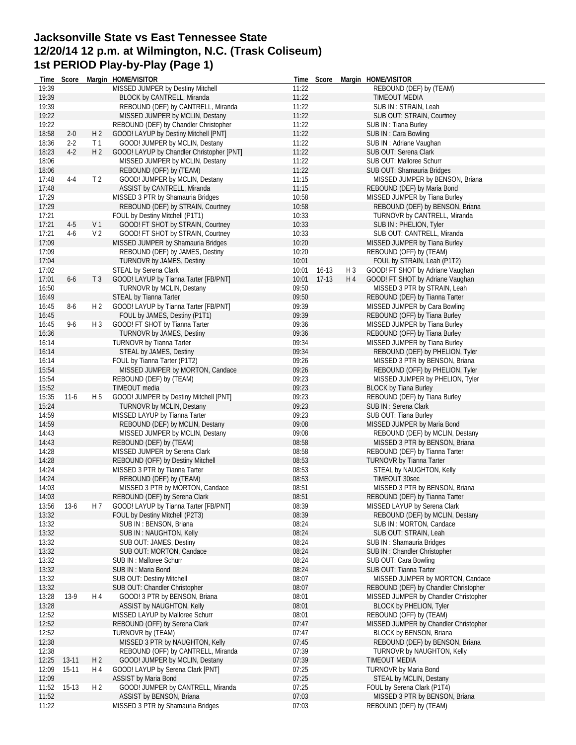# **Jacksonville State vs East Tennessee State 12/20/14 12 p.m. at Wilmington, N.C. (Trask Coliseum) 1st PERIOD Play-by-Play (Page 1)**

| Time           | Score   |                | Margin HOME/VISITOR                                  |                | Time Score  |       | Margin HOME/VISITOR                                   |
|----------------|---------|----------------|------------------------------------------------------|----------------|-------------|-------|-------------------------------------------------------|
| 19:39          |         |                | MISSED JUMPER by Destiny Mitchell                    | 11:22          |             |       | REBOUND (DEF) by (TEAM)                               |
| 19:39          |         |                | <b>BLOCK by CANTRELL, Miranda</b>                    | 11:22          |             |       | TIMEOUT MEDIA                                         |
| 19:39          |         |                | REBOUND (DEF) by CANTRELL, Miranda                   | 11:22          |             |       | SUB IN: STRAIN, Leah                                  |
| 19:22          |         |                | MISSED JUMPER by MCLIN, Destany                      | 11:22          |             |       | SUB OUT: STRAIN, Courtney                             |
| 19:22          |         |                | REBOUND (DEF) by Chandler Christopher                | 11:22          |             |       | SUB IN: Tiana Burley                                  |
| 18:58          | $2 - 0$ | H <sub>2</sub> | GOOD! LAYUP by Destiny Mitchell [PNT]                | 11:22          |             |       | SUB IN: Cara Bowling                                  |
| 18:36          | $2-2$   | T1             | GOOD! JUMPER by MCLIN, Destany                       | 11:22          |             |       | SUB IN: Adriane Vaughan                               |
| 18:23          | $4-2$   | H <sub>2</sub> | GOOD! LAYUP by Chandler Christopher [PNT]            | 11:22          |             |       | SUB OUT: Serena Clark                                 |
| 18:06          |         |                | MISSED JUMPER by MCLIN, Destany                      | 11:22          |             |       | SUB OUT: Malloree Schurr                              |
| 18:06          |         |                | REBOUND (OFF) by (TEAM)                              | 11:22          |             |       | SUB OUT: Shamauria Bridges                            |
| 17:48          | 4-4     | T <sub>2</sub> | GOOD! JUMPER by MCLIN, Destany                       | 11:15          |             |       | MISSED JUMPER by BENSON, Briana                       |
| 17:48          |         |                | ASSIST by CANTRELL, Miranda                          | 11:15          |             |       | REBOUND (DEF) by Maria Bond                           |
| 17:29          |         |                | MISSED 3 PTR by Shamauria Bridges                    | 10:58          |             |       | MISSED JUMPER by Tiana Burley                         |
| 17:29          |         |                | REBOUND (DEF) by STRAIN, Courtney                    | 10:58          |             |       | REBOUND (DEF) by BENSON, Briana                       |
| 17:21          |         |                | FOUL by Destiny Mitchell (P1T1)                      | 10:33          |             |       | TURNOVR by CANTRELL, Miranda                          |
| 17:21          | $4-5$   | V <sub>1</sub> | GOOD! FT SHOT by STRAIN, Courtney                    | 10:33          |             |       | SUB IN: PHELION, Tyler                                |
| 17:21          | $4-6$   | V <sub>2</sub> | GOOD! FT SHOT by STRAIN, Courtney                    | 10:33          |             |       | SUB OUT: CANTRELL, Miranda                            |
| 17:09          |         |                |                                                      | 10:20          |             |       |                                                       |
|                |         |                | MISSED JUMPER by Shamauria Bridges                   |                |             |       | MISSED JUMPER by Tiana Burley                         |
| 17:09          |         |                | REBOUND (DEF) by JAMES, Destiny                      | 10:20          |             |       | REBOUND (OFF) by (TEAM)                               |
| 17:04          |         |                | TURNOVR by JAMES, Destiny                            | 10:01          |             |       | FOUL by STRAIN, Leah (P1T2)                           |
| 17:02          |         |                | STEAL by Serena Clark                                |                | 10:01 16-13 | $H_3$ | GOOD! FT SHOT by Adriane Vaughan                      |
| 17:01          | $6-6$   | T <sub>3</sub> | GOOD! LAYUP by Tianna Tarter [FB/PNT]                | 10:01          | $17-13$     | H 4   | GOOD! FT SHOT by Adriane Vaughan                      |
| 16:50          |         |                | TURNOVR by MCLIN, Destany                            | 09:50          |             |       | MISSED 3 PTR by STRAIN, Leah                          |
| 16:49          |         |                | STEAL by Tianna Tarter                               | 09:50          |             |       | REBOUND (DEF) by Tianna Tarter                        |
| 16:45          | $8-6$   | H <sub>2</sub> | GOOD! LAYUP by Tianna Tarter [FB/PNT]                | 09:39          |             |       | MISSED JUMPER by Cara Bowling                         |
| 16:45          |         |                | FOUL by JAMES, Destiny (P1T1)                        | 09:39          |             |       | REBOUND (OFF) by Tiana Burley                         |
| 16:45          | 9-6     | H 3            | GOOD! FT SHOT by Tianna Tarter                       | 09:36          |             |       | MISSED JUMPER by Tiana Burley                         |
| 16:36          |         |                | TURNOVR by JAMES, Destiny                            | 09:36          |             |       | REBOUND (OFF) by Tiana Burley                         |
| 16:14          |         |                | <b>TURNOVR by Tianna Tarter</b>                      | 09:34          |             |       | MISSED JUMPER by Tiana Burley                         |
| 16:14          |         |                | STEAL by JAMES, Destiny                              | 09:34          |             |       | REBOUND (DEF) by PHELION, Tyler                       |
| 16:14          |         |                | FOUL by Tianna Tarter (P1T2)                         | 09:26          |             |       | MISSED 3 PTR by BENSON, Briana                        |
| 15:54          |         |                | MISSED JUMPER by MORTON, Candace                     | 09:26          |             |       | REBOUND (OFF) by PHELION, Tyler                       |
| 15:54          |         |                | REBOUND (DEF) by (TEAM)                              | 09:23          |             |       | MISSED JUMPER by PHELION, Tyler                       |
|                |         |                |                                                      |                |             |       |                                                       |
| 15:52          |         |                | TIMEOUT media                                        | 09:23          |             |       | <b>BLOCK by Tiana Burley</b>                          |
| 15:35          | $11-6$  | H 5            | GOOD! JUMPER by Destiny Mitchell [PNT]               | 09:23          |             |       | REBOUND (DEF) by Tiana Burley                         |
| 15:24          |         |                | <b>TURNOVR by MCLIN, Destany</b>                     | 09:23          |             |       | SUB IN: Serena Clark                                  |
| 14:59          |         |                | MISSED LAYUP by Tianna Tarter                        | 09:23          |             |       | SUB OUT: Tiana Burley                                 |
| 14:59          |         |                | REBOUND (DEF) by MCLIN, Destany                      | 09:08          |             |       | MISSED JUMPER by Maria Bond                           |
| 14:43          |         |                | MISSED JUMPER by MCLIN, Destany                      | 09:08          |             |       | REBOUND (DEF) by MCLIN, Destany                       |
| 14:43          |         |                | REBOUND (DEF) by (TEAM)                              | 08:58          |             |       | MISSED 3 PTR by BENSON, Briana                        |
| 14:28          |         |                | MISSED JUMPER by Serena Clark                        | 08:58          |             |       | REBOUND (DEF) by Tianna Tarter                        |
| 14:28          |         |                | REBOUND (OFF) by Destiny Mitchell                    | 08:53          |             |       | TURNOVR by Tianna Tarter                              |
| 14:24          |         |                | MISSED 3 PTR by Tianna Tarter                        | 08:53          |             |       | STEAL by NAUGHTON, Kelly                              |
| 14:24          |         |                | REBOUND (DEF) by (TEAM)                              | 08:53          |             |       | TIMEOUT 30sec                                         |
| 14:03          |         |                | MISSED 3 PTR by MORTON, Candace                      | 08:51          |             |       | MISSED 3 PTR by BENSON, Briana                        |
| 14:03          |         |                | REBOUND (DEF) by Serena Clark                        | 08:51          |             |       | REBOUND (DEF) by Tianna Tarter                        |
| 13:56          | $13-6$  | H 7            | GOOD! LAYUP by Tianna Tarter [FB/PNT]                | 08:39          |             |       | MISSED LAYUP by Serena Clark                          |
| 13:32          |         |                | FOUL by Destiny Mitchell (P2T3)                      | 08:39          |             |       | REBOUND (DEF) by MCLIN, Destany                       |
| 13:32          |         |                | SUB IN: BENSON, Briana                               | 08:24          |             |       | SUB IN: MORTON, Candace                               |
| 13:32          |         |                | SUB IN: NAUGHTON, Kelly                              | 08:24          |             |       | SUB OUT: STRAIN, Leah                                 |
| 13:32          |         |                | SUB OUT: JAMES, Destiny                              | 08:24          |             |       | SUB IN: Shamauria Bridges                             |
|                |         |                |                                                      |                |             |       |                                                       |
| 13:32<br>13:32 |         |                | SUB OUT: MORTON, Candace<br>SUB IN : Malloree Schurr | 08:24<br>08:24 |             |       | SUB IN: Chandler Christopher<br>SUB OUT: Cara Bowling |
|                |         |                |                                                      |                |             |       |                                                       |
| 13:32          |         |                | SUB IN: Maria Bond                                   | 08:24          |             |       | SUB OUT: Tianna Tarter                                |
| 13:32          |         |                | <b>SUB OUT: Destiny Mitchell</b>                     | 08:07          |             |       | MISSED JUMPER by MORTON, Candace                      |
| 13:32          |         |                | SUB OUT: Chandler Christopher                        | 08:07          |             |       | REBOUND (DEF) by Chandler Christopher                 |
| 13:28          | 13-9    | H 4            | GOOD! 3 PTR by BENSON, Briana                        | 08:01          |             |       | MISSED JUMPER by Chandler Christopher                 |
| 13:28          |         |                | ASSIST by NAUGHTON, Kelly                            | 08:01          |             |       | BLOCK by PHELION, Tyler                               |
| 12:52          |         |                | MISSED LAYUP by Malloree Schurr                      | 08:01          |             |       | REBOUND (OFF) by (TEAM)                               |
| 12:52          |         |                | REBOUND (OFF) by Serena Clark                        | 07:47          |             |       | MISSED JUMPER by Chandler Christopher                 |
| 12:52          |         |                | TURNOVR by (TEAM)                                    | 07:47          |             |       | BLOCK by BENSON, Briana                               |
| 12:38          |         |                | MISSED 3 PTR by NAUGHTON, Kelly                      | 07:45          |             |       | REBOUND (DEF) by BENSON, Briana                       |
| 12:38          |         |                | REBOUND (OFF) by CANTRELL, Miranda                   | 07:39          |             |       | TURNOVR by NAUGHTON, Kelly                            |
| 12:25          | 13-11   | H <sub>2</sub> | GOOD! JUMPER by MCLIN, Destany                       | 07:39          |             |       | <b>TIMEOUT MEDIA</b>                                  |
| 12:09          | $15-11$ | H 4            | GOOD! LAYUP by Serena Clark [PNT]                    | 07:25          |             |       | TURNOVR by Maria Bond                                 |
| 12:09          |         |                | <b>ASSIST by Maria Bond</b>                          | 07:25          |             |       | STEAL by MCLIN, Destany                               |
| 11:52          | 15-13   | H <sub>2</sub> | GOOD! JUMPER by CANTRELL, Miranda                    | 07:25          |             |       | FOUL by Serena Clark (P1T4)                           |
| 11:52          |         |                | ASSIST by BENSON, Briana                             | 07:03          |             |       | MISSED 3 PTR by BENSON, Briana                        |
| 11:22          |         |                | MISSED 3 PTR by Shamauria Bridges                    | 07:03          |             |       | REBOUND (DEF) by (TEAM)                               |
|                |         |                |                                                      |                |             |       |                                                       |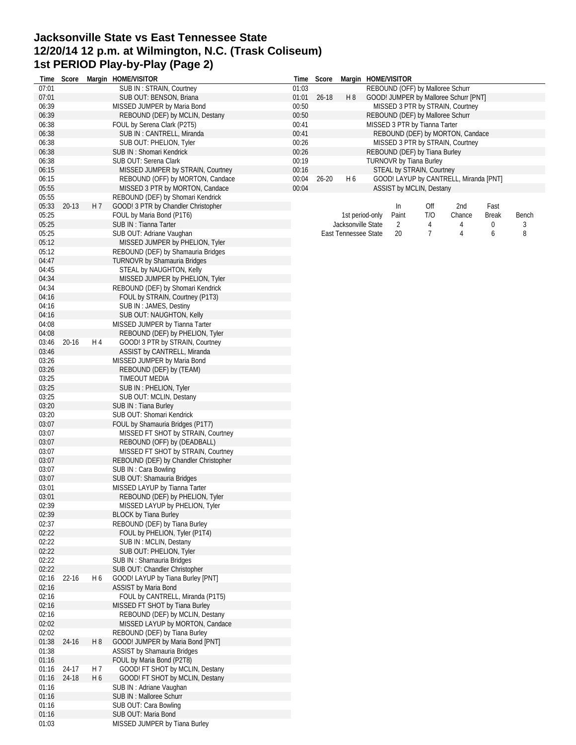## **Jacksonville State vs East Tennessee State 12/20/14 12 p.m. at Wilmington, N.C. (Trask Coliseum) 1st PERIOD Play-by-Play (Page 2)**

| Time  | Score     |                | Margin HOME/VISITOR                   | Time  | Score     |                      |                 | Margin HOME/VISITOR              |     |                                        |              |       |
|-------|-----------|----------------|---------------------------------------|-------|-----------|----------------------|-----------------|----------------------------------|-----|----------------------------------------|--------------|-------|
| 07:01 |           |                | SUB IN: STRAIN, Courtney              | 01:03 |           |                      |                 | REBOUND (OFF) by Malloree Schurr |     |                                        |              |       |
| 07:01 |           |                | SUB OUT: BENSON, Briana               | 01:01 | $26 - 18$ | H 8                  |                 |                                  |     | GOOD! JUMPER by Malloree Schurr [PNT]  |              |       |
| 06:39 |           |                | MISSED JUMPER by Maria Bond           | 00:50 |           |                      |                 |                                  |     | MISSED 3 PTR by STRAIN, Courtney       |              |       |
| 06:39 |           |                | REBOUND (DEF) by MCLIN, Destany       | 00:50 |           |                      |                 | REBOUND (DEF) by Malloree Schurr |     |                                        |              |       |
| 06:38 |           |                | FOUL by Serena Clark (P2T5)           | 00:41 |           |                      |                 | MISSED 3 PTR by Tianna Tarter    |     |                                        |              |       |
| 06:38 |           |                | SUB IN: CANTRELL, Miranda             | 00:41 |           |                      |                 |                                  |     | REBOUND (DEF) by MORTON, Candace       |              |       |
| 06:38 |           |                | SUB OUT: PHELION, Tyler               | 00:26 |           |                      |                 |                                  |     | MISSED 3 PTR by STRAIN, Courtney       |              |       |
| 06:38 |           |                | SUB IN: Shomari Kendrick              | 00:26 |           |                      |                 | REBOUND (DEF) by Tiana Burley    |     |                                        |              |       |
|       |           |                |                                       |       |           |                      |                 |                                  |     |                                        |              |       |
| 06:38 |           |                | SUB OUT: Serena Clark                 | 00:19 |           |                      |                 | <b>TURNOVR by Tiana Burley</b>   |     |                                        |              |       |
| 06:15 |           |                | MISSED JUMPER by STRAIN, Courtney     | 00:16 |           |                      |                 | STEAL by STRAIN, Courtney        |     |                                        |              |       |
| 06:15 |           |                | REBOUND (OFF) by MORTON, Candace      | 00:04 | $26 - 20$ | H6                   |                 |                                  |     | GOOD! LAYUP by CANTRELL, Miranda [PNT] |              |       |
| 05:55 |           |                | MISSED 3 PTR by MORTON, Candace       | 00:04 |           |                      |                 | <b>ASSIST by MCLIN, Destany</b>  |     |                                        |              |       |
| 05:55 |           |                | REBOUND (DEF) by Shomari Kendrick     |       |           |                      |                 |                                  |     |                                        |              |       |
| 05:33 | $20 - 13$ | H 7            | GOOD! 3 PTR by Chandler Christopher   |       |           |                      |                 | In                               | Off | 2nd                                    | Fast         |       |
| 05:25 |           |                | FOUL by Maria Bond (P1T6)             |       |           |                      | 1st period-only | Paint                            | T/O | Chance                                 | <b>Break</b> | Bench |
| 05:25 |           |                | SUB IN: Tianna Tarter                 |       |           | Jacksonville State   |                 | 2                                | 4   | 4                                      | 0            | 3     |
| 05:25 |           |                | SUB OUT: Adriane Vaughan              |       |           | East Tennessee State |                 | 20                               | 7   | 4                                      | 6            | 8     |
| 05:12 |           |                | MISSED JUMPER by PHELION, Tyler       |       |           |                      |                 |                                  |     |                                        |              |       |
| 05:12 |           |                |                                       |       |           |                      |                 |                                  |     |                                        |              |       |
|       |           |                | REBOUND (DEF) by Shamauria Bridges    |       |           |                      |                 |                                  |     |                                        |              |       |
| 04:47 |           |                | <b>TURNOVR by Shamauria Bridges</b>   |       |           |                      |                 |                                  |     |                                        |              |       |
| 04:45 |           |                | STEAL by NAUGHTON, Kelly              |       |           |                      |                 |                                  |     |                                        |              |       |
| 04:34 |           |                | MISSED JUMPER by PHELION, Tyler       |       |           |                      |                 |                                  |     |                                        |              |       |
| 04:34 |           |                | REBOUND (DEF) by Shomari Kendrick     |       |           |                      |                 |                                  |     |                                        |              |       |
| 04:16 |           |                | FOUL by STRAIN, Courtney (P1T3)       |       |           |                      |                 |                                  |     |                                        |              |       |
| 04:16 |           |                | SUB IN: JAMES, Destiny                |       |           |                      |                 |                                  |     |                                        |              |       |
| 04:16 |           |                | SUB OUT: NAUGHTON, Kelly              |       |           |                      |                 |                                  |     |                                        |              |       |
| 04:08 |           |                | MISSED JUMPER by Tianna Tarter        |       |           |                      |                 |                                  |     |                                        |              |       |
| 04:08 |           |                | REBOUND (DEF) by PHELION, Tyler       |       |           |                      |                 |                                  |     |                                        |              |       |
| 03:46 | 20-16     | H 4            | GOOD! 3 PTR by STRAIN, Courtney       |       |           |                      |                 |                                  |     |                                        |              |       |
|       |           |                |                                       |       |           |                      |                 |                                  |     |                                        |              |       |
| 03:46 |           |                | ASSIST by CANTRELL, Miranda           |       |           |                      |                 |                                  |     |                                        |              |       |
| 03:26 |           |                | MISSED JUMPER by Maria Bond           |       |           |                      |                 |                                  |     |                                        |              |       |
| 03:26 |           |                | REBOUND (DEF) by (TEAM)               |       |           |                      |                 |                                  |     |                                        |              |       |
| 03:25 |           |                | TIMEOUT MEDIA                         |       |           |                      |                 |                                  |     |                                        |              |       |
| 03:25 |           |                | SUB IN : PHELION, Tyler               |       |           |                      |                 |                                  |     |                                        |              |       |
| 03:25 |           |                | SUB OUT: MCLIN, Destany               |       |           |                      |                 |                                  |     |                                        |              |       |
| 03:20 |           |                | SUB IN: Tiana Burley                  |       |           |                      |                 |                                  |     |                                        |              |       |
| 03:20 |           |                | SUB OUT: Shomari Kendrick             |       |           |                      |                 |                                  |     |                                        |              |       |
| 03:07 |           |                | FOUL by Shamauria Bridges (P1T7)      |       |           |                      |                 |                                  |     |                                        |              |       |
| 03:07 |           |                | MISSED FT SHOT by STRAIN, Courtney    |       |           |                      |                 |                                  |     |                                        |              |       |
| 03:07 |           |                | REBOUND (OFF) by (DEADBALL)           |       |           |                      |                 |                                  |     |                                        |              |       |
|       |           |                |                                       |       |           |                      |                 |                                  |     |                                        |              |       |
| 03:07 |           |                | MISSED FT SHOT by STRAIN, Courtney    |       |           |                      |                 |                                  |     |                                        |              |       |
| 03:07 |           |                | REBOUND (DEF) by Chandler Christopher |       |           |                      |                 |                                  |     |                                        |              |       |
| 03:07 |           |                | SUB IN: Cara Bowling                  |       |           |                      |                 |                                  |     |                                        |              |       |
| 03:07 |           |                | SUB OUT: Shamauria Bridges            |       |           |                      |                 |                                  |     |                                        |              |       |
| 03:01 |           |                | MISSED LAYUP by Tianna Tarter         |       |           |                      |                 |                                  |     |                                        |              |       |
| 03:01 |           |                | REBOUND (DEF) by PHELION, Tyler       |       |           |                      |                 |                                  |     |                                        |              |       |
| 02:39 |           |                | MISSED LAYUP by PHELION, Tyler        |       |           |                      |                 |                                  |     |                                        |              |       |
| 02:39 |           |                | <b>BLOCK by Tiana Burley</b>          |       |           |                      |                 |                                  |     |                                        |              |       |
| 02:37 |           |                | REBOUND (DEF) by Tiana Burley         |       |           |                      |                 |                                  |     |                                        |              |       |
| 02:22 |           |                | FOUL by PHELION, Tyler (P1T4)         |       |           |                      |                 |                                  |     |                                        |              |       |
| 02:22 |           |                | SUB IN: MCLIN, Destany                |       |           |                      |                 |                                  |     |                                        |              |       |
| 02:22 |           |                | SUB OUT: PHELION, Tyler               |       |           |                      |                 |                                  |     |                                        |              |       |
|       |           |                |                                       |       |           |                      |                 |                                  |     |                                        |              |       |
| 02:22 |           |                | SUB IN: Shamauria Bridges             |       |           |                      |                 |                                  |     |                                        |              |       |
| 02:22 |           |                | SUB OUT: Chandler Christopher         |       |           |                      |                 |                                  |     |                                        |              |       |
| 02:16 | 22-16     | H 6            | GOOD! LAYUP by Tiana Burley [PNT]     |       |           |                      |                 |                                  |     |                                        |              |       |
| 02:16 |           |                | <b>ASSIST by Maria Bond</b>           |       |           |                      |                 |                                  |     |                                        |              |       |
| 02:16 |           |                | FOUL by CANTRELL, Miranda (P1T5)      |       |           |                      |                 |                                  |     |                                        |              |       |
| 02:16 |           |                | MISSED FT SHOT by Tiana Burley        |       |           |                      |                 |                                  |     |                                        |              |       |
| 02:16 |           |                | REBOUND (DEF) by MCLIN, Destany       |       |           |                      |                 |                                  |     |                                        |              |       |
| 02:02 |           |                | MISSED LAYUP by MORTON, Candace       |       |           |                      |                 |                                  |     |                                        |              |       |
| 02:02 |           |                | REBOUND (DEF) by Tiana Burley         |       |           |                      |                 |                                  |     |                                        |              |       |
| 01:38 | 24-16     | H8             | GOOD! JUMPER by Maria Bond [PNT]      |       |           |                      |                 |                                  |     |                                        |              |       |
| 01:38 |           |                |                                       |       |           |                      |                 |                                  |     |                                        |              |       |
|       |           |                | ASSIST by Shamauria Bridges           |       |           |                      |                 |                                  |     |                                        |              |       |
| 01:16 |           |                | FOUL by Maria Bond (P2T8)             |       |           |                      |                 |                                  |     |                                        |              |       |
| 01:16 | 24-17     | H 7            | GOOD! FT SHOT by MCLIN, Destany       |       |           |                      |                 |                                  |     |                                        |              |       |
| 01:16 | 24-18     | H <sub>6</sub> | GOOD! FT SHOT by MCLIN, Destany       |       |           |                      |                 |                                  |     |                                        |              |       |
| 01:16 |           |                | SUB IN: Adriane Vaughan               |       |           |                      |                 |                                  |     |                                        |              |       |
| 01:16 |           |                | SUB IN : Malloree Schurr              |       |           |                      |                 |                                  |     |                                        |              |       |
| 01:16 |           |                | SUB OUT: Cara Bowling                 |       |           |                      |                 |                                  |     |                                        |              |       |
| 01:16 |           |                | SUB OUT: Maria Bond                   |       |           |                      |                 |                                  |     |                                        |              |       |
| 01:03 |           |                | MISSED JUMPER by Tiana Burley         |       |           |                      |                 |                                  |     |                                        |              |       |
|       |           |                |                                       |       |           |                      |                 |                                  |     |                                        |              |       |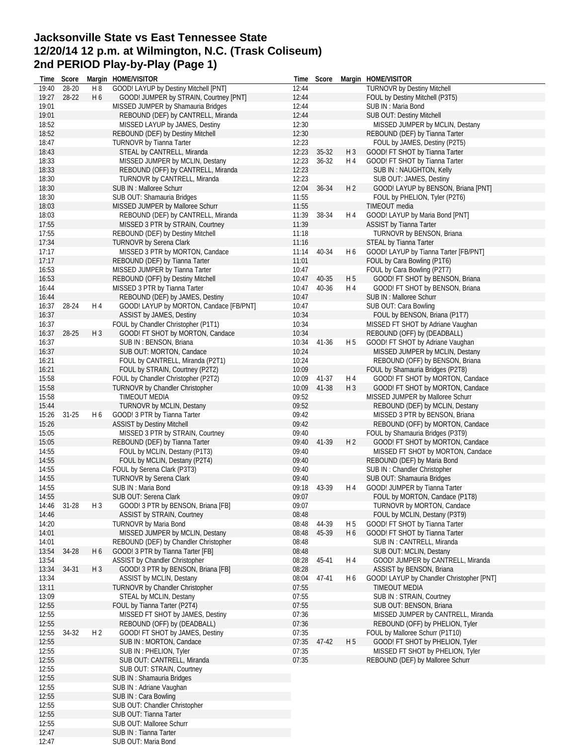# **Jacksonville State vs East Tennessee State 12/20/14 12 p.m. at Wilmington, N.C. (Trask Coliseum) 2nd PERIOD Play-by-Play (Page 1)**

| lime           | Score     |                | Margin HOME/VISITOR                                                      |                | Time Score     |                                  | Margin HOME/VISITOR                                                  |
|----------------|-----------|----------------|--------------------------------------------------------------------------|----------------|----------------|----------------------------------|----------------------------------------------------------------------|
| 19:40          | 28-20     | H8             | GOOD! LAYUP by Destiny Mitchell [PNT]                                    | 12:44          |                |                                  | <b>TURNOVR by Destiny Mitchell</b>                                   |
| 19:27          | 28-22     | H <sub>6</sub> | GOOD! JUMPER by STRAIN, Courtney [PNT]                                   | 12:44          |                |                                  | FOUL by Destiny Mitchell (P3T5)                                      |
| 19:01<br>19:01 |           |                | MISSED JUMPER by Shamauria Bridges<br>REBOUND (DEF) by CANTRELL, Miranda | 12:44<br>12:44 |                |                                  | SUB IN : Maria Bond<br>SUB OUT: Destiny Mitchell                     |
| 18:52          |           |                | MISSED LAYUP by JAMES, Destiny                                           | 12:30          |                |                                  | MISSED JUMPER by MCLIN, Destany                                      |
| 18:52          |           |                | REBOUND (DEF) by Destiny Mitchell                                        | 12:30          |                |                                  | REBOUND (DEF) by Tianna Tarter                                       |
| 18:47          |           |                | <b>TURNOVR by Tianna Tarter</b>                                          | 12:23          |                |                                  | FOUL by JAMES, Destiny (P2T5)                                        |
| 18:43          |           |                | STEAL by CANTRELL, Miranda                                               | 12:23          | 35-32          | $H_3$                            | GOOD! FT SHOT by Tianna Tarter                                       |
| 18:33          |           |                | MISSED JUMPER by MCLIN, Destany                                          | 12:23          | 36-32          | H 4                              | GOOD! FT SHOT by Tianna Tarter                                       |
| 18:33          |           |                | REBOUND (OFF) by CANTRELL, Miranda                                       | 12:23          |                |                                  | SUB IN: NAUGHTON, Kelly                                              |
| 18:30          |           |                | TURNOVR by CANTRELL, Miranda                                             | 12:23          |                |                                  | SUB OUT: JAMES, Destiny                                              |
| 18:30          |           |                | SUB IN : Malloree Schurr                                                 | 12:04          | 36-34          | H <sub>2</sub>                   | GOOD! LAYUP by BENSON, Briana [PNT]                                  |
| 18:30          |           |                | SUB OUT: Shamauria Bridges                                               | 11:55          |                |                                  | FOUL by PHELION, Tyler (P2T6)                                        |
| 18:03          |           |                | MISSED JUMPER by Malloree Schurr                                         | 11:55          |                |                                  | TIMEOUT media                                                        |
| 18:03          |           |                | REBOUND (DEF) by CANTRELL, Miranda                                       | 11:39          | 38-34          | H 4                              | GOOD! LAYUP by Maria Bond [PNT]                                      |
| 17:55<br>17:55 |           |                | MISSED 3 PTR by STRAIN, Courtney<br>REBOUND (DEF) by Destiny Mitchell    | 11:39<br>11:18 |                |                                  | <b>ASSIST by Tianna Tarter</b><br>TURNOVR by BENSON, Briana          |
| 17:34          |           |                | TURNOVR by Serena Clark                                                  | 11:16          |                |                                  | STEAL by Tianna Tarter                                               |
| 17:17          |           |                | MISSED 3 PTR by MORTON, Candace                                          | 11:14          | 40-34          | H 6                              | GOOD! LAYUP by Tianna Tarter [FB/PNT]                                |
| 17:17          |           |                | REBOUND (DEF) by Tianna Tarter                                           | 11:01          |                |                                  | FOUL by Cara Bowling (P1T6)                                          |
| 16:53          |           |                | MISSED JUMPER by Tianna Tarter                                           | 10:47          |                |                                  | FOUL by Cara Bowling (P2T7)                                          |
| 16:53          |           |                | REBOUND (OFF) by Destiny Mitchell                                        | 10:47          | 40-35          | H 5                              | GOOD! FT SHOT by BENSON, Briana                                      |
| 16:44          |           |                | MISSED 3 PTR by Tianna Tarter                                            | 10:47          | 40-36          | H 4                              | GOOD! FT SHOT by BENSON, Briana                                      |
| 16:44          |           |                | REBOUND (DEF) by JAMES, Destiny                                          | 10:47          |                |                                  | SUB IN : Malloree Schurr                                             |
| 16:37          | 28-24     | H 4            | GOOD! LAYUP by MORTON, Candace [FB/PNT]                                  | 10:47          |                |                                  | SUB OUT: Cara Bowling                                                |
| 16:37          |           |                | ASSIST by JAMES, Destiny                                                 | 10:34          |                |                                  | FOUL by BENSON, Briana (P1T7)                                        |
| 16:37          |           |                | FOUL by Chandler Christopher (P1T1)                                      | 10:34          |                |                                  | MISSED FT SHOT by Adriane Vaughan                                    |
| 16:37          | 28-25     | $H_3$          | GOOD! FT SHOT by MORTON, Candace                                         | 10:34          |                |                                  | REBOUND (OFF) by (DEADBALL)                                          |
| 16:37          |           |                | SUB IN: BENSON, Briana                                                   | 10:34          | 41-36          | H <sub>5</sub>                   | GOOD! FT SHOT by Adriane Vaughan                                     |
| 16:37          |           |                | SUB OUT: MORTON, Candace                                                 | 10:24          |                |                                  | MISSED JUMPER by MCLIN, Destany                                      |
| 16:21          |           |                | FOUL by CANTRELL, Miranda (P2T1)                                         | 10:24          |                |                                  | REBOUND (OFF) by BENSON, Briana                                      |
| 16:21          |           |                | FOUL by STRAIN, Courtney (P2T2)                                          | 10:09          |                |                                  | FOUL by Shamauria Bridges (P2T8)                                     |
| 15:58<br>15:58 |           |                | FOUL by Chandler Christopher (P2T2)<br>TURNOVR by Chandler Christopher   | 10:09<br>10:09 | 41-37<br>41-38 | H 4<br>$H_3$                     | GOOD! FT SHOT by MORTON, Candace<br>GOOD! FT SHOT by MORTON, Candace |
| 15:58          |           |                | TIMEOUT MEDIA                                                            | 09:52          |                |                                  | MISSED JUMPER by Malloree Schurr                                     |
| 15:44          |           |                | <b>TURNOVR by MCLIN, Destany</b>                                         | 09:52          |                |                                  | REBOUND (DEF) by MCLIN, Destany                                      |
| 15:26          | $31 - 25$ | H 6            | GOOD! 3 PTR by Tianna Tarter                                             | 09:42          |                |                                  | MISSED 3 PTR by BENSON, Briana                                       |
| 15:26          |           |                | <b>ASSIST by Destiny Mitchell</b>                                        | 09:42          |                |                                  | REBOUND (OFF) by MORTON, Candace                                     |
| 15:05          |           |                | MISSED 3 PTR by STRAIN, Courtney                                         | 09:40          |                |                                  | FOUL by Shamauria Bridges (P3T9)                                     |
| 15:05          |           |                | REBOUND (DEF) by Tianna Tarter                                           | 09:40          | 41-39          | H <sub>2</sub>                   | GOOD! FT SHOT by MORTON, Candace                                     |
| 14:55          |           |                | FOUL by MCLIN, Destany (P1T3)                                            | 09:40          |                |                                  | MISSED FT SHOT by MORTON, Candace                                    |
| 14:55          |           |                | FOUL by MCLIN, Destany (P2T4)                                            | 09:40          |                |                                  | REBOUND (DEF) by Maria Bond                                          |
| 14:55          |           |                | FOUL by Serena Clark (P3T3)                                              | 09:40          |                |                                  | SUB IN: Chandler Christopher                                         |
| 14:55          |           |                | <b>TURNOVR by Serena Clark</b>                                           | 09:40          |                |                                  | SUB OUT: Shamauria Bridges                                           |
| 14:55          |           |                | SUB IN: Maria Bond                                                       | 09:18          | 43-39          | H 4                              | GOOD! JUMPER by Tianna Tarter                                        |
| 14:55          |           |                | SUB OUT: Serena Clark                                                    | 09:07          |                |                                  | FOUL by MORTON, Candace (P1T8)                                       |
| 14:46          | 31-28     | $H_3$          | GOOD! 3 PTR by BENSON, Briana [FB]                                       | 09:07          |                |                                  | TURNOVR by MORTON, Candace                                           |
| 14:46          |           |                | <b>ASSIST by STRAIN, Courtney</b>                                        | 08:48          |                |                                  | FOUL by MCLIN, Destany (P3T9)                                        |
| 14:20<br>14:01 |           |                | <b>TURNOVR by Maria Bond</b><br>MISSED JUMPER by MCLIN, Destany          | 08:48<br>08:48 | 44-39<br>45-39 | H <sub>5</sub><br>H <sub>6</sub> | GOOD! FT SHOT by Tianna Tarter<br>GOOD! FT SHOT by Tianna Tarter     |
| 14:01          |           |                | REBOUND (DEF) by Chandler Christopher                                    | 08:48          |                |                                  | SUB IN: CANTRELL, Miranda                                            |
| 13:54          | 34-28     | H <sub>6</sub> | GOOD! 3 PTR by Tianna Tarter [FB]                                        | 08:48          |                |                                  | SUB OUT: MCLIN, Destany                                              |
| 13:54          |           |                | ASSIST by Chandler Christopher                                           | 08:28          | 45-41          | H 4                              | GOOD! JUMPER by CANTRELL, Miranda                                    |
| 13:34          | 34-31     | $H_3$          | GOOD! 3 PTR by BENSON, Briana [FB]                                       | 08:28          |                |                                  | ASSIST by BENSON, Briana                                             |
| 13:34          |           |                | ASSIST by MCLIN, Destany                                                 | 08:04          | 47-41          | H 6                              | GOOD! LAYUP by Chandler Christopher [PNT]                            |
| 13:11          |           |                | TURNOVR by Chandler Christopher                                          | 07:55          |                |                                  | TIMEOUT MEDIA                                                        |
| 13:09          |           |                | STEAL by MCLIN, Destany                                                  | 07:55          |                |                                  | SUB IN: STRAIN, Courtney                                             |
| 12:55          |           |                | FOUL by Tianna Tarter (P2T4)                                             | 07:55          |                |                                  | SUB OUT: BENSON, Briana                                              |
| 12:55          |           |                | MISSED FT SHOT by JAMES, Destiny                                         | 07:36          |                |                                  | MISSED JUMPER by CANTRELL, Miranda                                   |
| 12:55          |           |                | REBOUND (OFF) by (DEADBALL)                                              | 07:36          |                |                                  | REBOUND (OFF) by PHELION, Tyler                                      |
| 12:55          | 34-32     | H <sub>2</sub> | GOOD! FT SHOT by JAMES, Destiny                                          | 07:35          |                |                                  | FOUL by Malloree Schurr (P1T10)                                      |
| 12:55          |           |                | SUB IN : MORTON, Candace                                                 | 07:35          | 47-42          | H <sub>5</sub>                   | GOOD! FT SHOT by PHELION, Tyler                                      |
| 12:55<br>12:55 |           |                | SUB IN: PHELION, Tyler<br>SUB OUT: CANTRELL, Miranda                     | 07:35<br>07:35 |                |                                  | MISSED FT SHOT by PHELION, Tyler<br>REBOUND (DEF) by Malloree Schurr |
| 12:55          |           |                | SUB OUT: STRAIN, Courtney                                                |                |                |                                  |                                                                      |
| 12:55          |           |                | SUB IN: Shamauria Bridges                                                |                |                |                                  |                                                                      |
| 12:55          |           |                | SUB IN: Adriane Vaughan                                                  |                |                |                                  |                                                                      |
| 12:55          |           |                | SUB IN: Cara Bowling                                                     |                |                |                                  |                                                                      |
| 12:55          |           |                | SUB OUT: Chandler Christopher                                            |                |                |                                  |                                                                      |
| 12:55          |           |                | SUB OUT: Tianna Tarter                                                   |                |                |                                  |                                                                      |
| 12:55          |           |                | SUB OUT: Malloree Schurr                                                 |                |                |                                  |                                                                      |
| 12:47          |           |                | SUB IN : Tianna Tarter                                                   |                |                |                                  |                                                                      |
| 12:47          |           |                | SUB OUT: Maria Bond                                                      |                |                |                                  |                                                                      |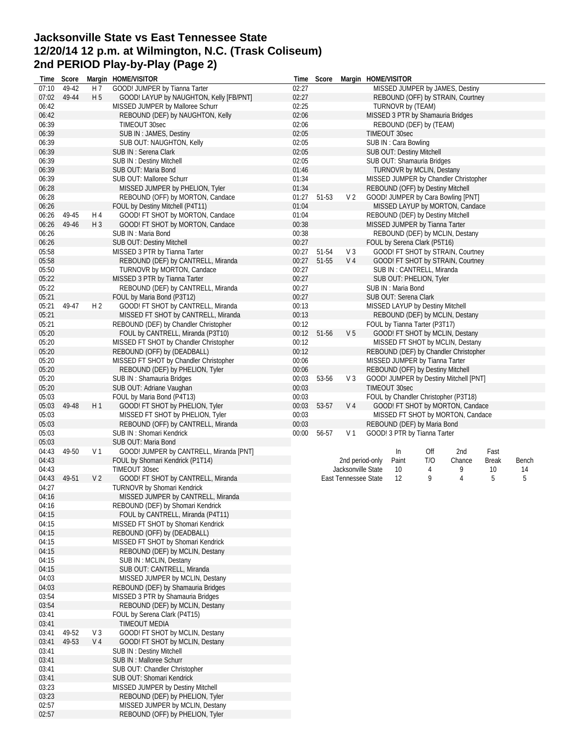## **Jacksonville State vs East Tennessee State 12/20/14 12 p.m. at Wilmington, N.C. (Trask Coliseum) 2nd PERIOD Play-by-Play (Page 2)**

| Time  | Score          |                | Margin HOME/VISITOR                                                | Time  | Score |                      | Margin HOME/VISITOR                             |
|-------|----------------|----------------|--------------------------------------------------------------------|-------|-------|----------------------|-------------------------------------------------|
| 07:10 | 49-42          | H 7            | GOOD! JUMPER by Tianna Tarter                                      | 02:27 |       |                      | MISSED JUMPER by JAMES, Destiny                 |
| 07:02 | 49-44          | H 5            | GOOD! LAYUP by NAUGHTON, Kelly [FB/PNT]                            | 02:27 |       |                      | REBOUND (OFF) by STRAIN, Courtney               |
| 06:42 |                |                | MISSED JUMPER by Malloree Schurr                                   | 02:25 |       |                      | TURNOVR by (TEAM)                               |
| 06:42 |                |                | REBOUND (DEF) by NAUGHTON, Kelly                                   | 02:06 |       |                      | MISSED 3 PTR by Shamauria Bridges               |
| 06:39 |                |                | TIMEOUT 30sec                                                      | 02:06 |       |                      | REBOUND (DEF) by (TEAM)                         |
| 06:39 |                |                | SUB IN: JAMES, Destiny                                             | 02:05 |       |                      | TIMEOUT 30sec                                   |
| 06:39 |                |                | SUB OUT: NAUGHTON, Kelly                                           | 02:05 |       |                      | SUB IN: Cara Bowling                            |
| 06:39 |                |                | SUB IN: Serena Clark                                               | 02:05 |       |                      | SUB OUT: Destiny Mitchell                       |
| 06:39 |                |                | <b>SUB IN: Destiny Mitchell</b>                                    | 02:05 |       |                      | SUB OUT: Shamauria Bridges                      |
| 06:39 |                |                | SUB OUT: Maria Bond                                                | 01:46 |       |                      | <b>TURNOVR by MCLIN, Destany</b>                |
| 06:39 |                |                | SUB OUT: Malloree Schurr                                           | 01:34 |       |                      | MISSED JUMPER by Chandler Christopher           |
| 06:28 |                |                | MISSED JUMPER by PHELION, Tyler                                    | 01:34 |       |                      | REBOUND (OFF) by Destiny Mitchell               |
| 06:28 |                |                | REBOUND (OFF) by MORTON, Candace                                   | 01:27 | 51-53 | V <sub>2</sub>       | GOOD! JUMPER by Cara Bowling [PNT]              |
| 06:26 |                |                | FOUL by Destiny Mitchell (P4T11)                                   | 01:04 |       |                      | MISSED LAYUP by MORTON, Candace                 |
| 06:26 | 49-45          | H 4            | GOOD! FT SHOT by MORTON, Candace                                   | 01:04 |       |                      | REBOUND (DEF) by Destiny Mitchell               |
| 06:26 | 49-46          | $H_3$          | GOOD! FT SHOT by MORTON, Candace                                   | 00:38 |       |                      | MISSED JUMPER by Tianna Tarter                  |
| 06:26 |                |                | SUB IN: Maria Bond                                                 | 00:38 |       |                      | REBOUND (DEF) by MCLIN, Destany                 |
| 06:26 |                |                | SUB OUT: Destiny Mitchell                                          | 00:27 |       |                      | FOUL by Serena Clark (P5T16)                    |
| 05:58 |                |                | MISSED 3 PTR by Tianna Tarter                                      | 00:27 | 51-54 | V 3                  | GOOD! FT SHOT by STRAIN, Courtney               |
| 05:58 |                |                | REBOUND (DEF) by CANTRELL, Miranda                                 | 00:27 | 51-55 | V 4                  | GOOD! FT SHOT by STRAIN, Courtney               |
| 05:50 |                |                | TURNOVR by MORTON, Candace                                         | 00:27 |       |                      | SUB IN: CANTRELL, Miranda                       |
| 05:22 |                |                | MISSED 3 PTR by Tianna Tarter                                      | 00:27 |       |                      | SUB OUT: PHELION, Tyler                         |
| 05:22 |                |                | REBOUND (DEF) by CANTRELL, Miranda                                 | 00:27 |       |                      | SUB IN: Maria Bond                              |
| 05:21 |                |                | FOUL by Maria Bond (P3T12)                                         | 00:27 |       |                      | SUB OUT: Serena Clark                           |
| 05:21 | 49-47          | H 2            | GOOD! FT SHOT by CANTRELL, Miranda                                 | 00:13 |       |                      |                                                 |
|       |                |                |                                                                    |       |       |                      | MISSED LAYUP by Destiny Mitchell                |
| 05:21 |                |                | MISSED FT SHOT by CANTRELL, Miranda                                | 00:13 |       |                      | REBOUND (DEF) by MCLIN, Destany                 |
| 05:21 |                |                | REBOUND (DEF) by Chandler Christopher                              | 00:12 |       |                      | FOUL by Tianna Tarter (P3T17)                   |
| 05:20 |                |                | FOUL by CANTRELL, Miranda (P3T10)                                  | 00:12 | 51-56 | V <sub>5</sub>       | GOOD! FT SHOT by MCLIN, Destany                 |
| 05:20 |                |                | MISSED FT SHOT by Chandler Christopher                             | 00:12 |       |                      | MISSED FT SHOT by MCLIN, Destany                |
| 05:20 |                |                | REBOUND (OFF) by (DEADBALL)                                        | 00:12 |       |                      | REBOUND (DEF) by Chandler Christopher           |
| 05:20 |                |                | MISSED FT SHOT by Chandler Christopher                             | 00:06 |       |                      | MISSED JUMPER by Tianna Tarter                  |
| 05:20 |                |                | REBOUND (DEF) by PHELION, Tyler                                    | 00:06 |       |                      | REBOUND (OFF) by Destiny Mitchell               |
| 05:20 |                |                | SUB IN: Shamauria Bridges                                          | 00:03 | 53-56 | V <sub>3</sub>       | GOOD! JUMPER by Destiny Mitchell [PNT]          |
| 05:20 |                |                | SUB OUT: Adriane Vaughan                                           | 00:03 |       |                      | TIMEOUT 30sec                                   |
| 05:03 |                |                | FOUL by Maria Bond (P4T13)                                         | 00:03 |       |                      | FOUL by Chandler Christopher (P3T18)            |
| 05:03 | 49-48          | H1             | GOOD! FT SHOT by PHELION, Tyler                                    | 00:03 | 53-57 | V 4                  | GOOD! FT SHOT by MORTON, Candace                |
| 05:03 |                |                | MISSED FT SHOT by PHELION, Tyler                                   | 00:03 |       |                      | MISSED FT SHOT by MORTON, Candace               |
| 05:03 |                |                | REBOUND (OFF) by CANTRELL, Miranda                                 | 00:03 |       |                      | REBOUND (DEF) by Maria Bond                     |
| 05:03 |                |                | SUB IN: Shomari Kendrick                                           | 00:00 | 56-57 | V <sub>1</sub>       | GOOD! 3 PTR by Tianna Tarter                    |
| 05:03 |                |                | SUB OUT: Maria Bond                                                |       |       |                      |                                                 |
| 04:43 | 49-50          | V <sub>1</sub> | GOOD! JUMPER by CANTRELL, Miranda [PNT]                            |       |       |                      | 2nd<br>In<br>Off<br>Fast                        |
| 04:43 |                |                | FOUL by Shomari Kendrick (P1T14)                                   |       |       | 2nd period-only      | T/O<br>Paint<br>Chance<br><b>Break</b><br>Bench |
| 04:43 |                |                | TIMEOUT 30sec                                                      |       |       | Jacksonville State   | 10<br>9<br>4<br>10<br>14                        |
| 04:43 | 49-51          | V <sub>2</sub> | GOOD! FT SHOT by CANTRELL, Miranda                                 |       |       | East Tennessee State | 5<br>12<br>9<br>5<br>4                          |
| 04:27 |                |                | <b>TURNOVR by Shomari Kendrick</b>                                 |       |       |                      |                                                 |
| 04:16 |                |                | MISSED JUMPER by CANTRELL, Miranda                                 |       |       |                      |                                                 |
| 04:16 |                |                | REBOUND (DEF) by Shomari Kendrick                                  |       |       |                      |                                                 |
| 04:15 |                |                | FOUL by CANTRELL, Miranda (P4T11)                                  |       |       |                      |                                                 |
| 04:15 |                |                | MISSED FT SHOT by Shomari Kendrick                                 |       |       |                      |                                                 |
| 04:15 |                |                | REBOUND (OFF) by (DEADBALL)                                        |       |       |                      |                                                 |
| 04:15 |                |                | MISSED FT SHOT by Shomari Kendrick                                 |       |       |                      |                                                 |
| 04:15 |                |                | REBOUND (DEF) by MCLIN, Destany                                    |       |       |                      |                                                 |
| 04:15 |                |                | SUB IN: MCLIN, Destany                                             |       |       |                      |                                                 |
| 04:15 |                |                | SUB OUT: CANTRELL, Miranda                                         |       |       |                      |                                                 |
| 04:03 |                |                | MISSED JUMPER by MCLIN, Destany                                    |       |       |                      |                                                 |
| 04:03 |                |                | REBOUND (DEF) by Shamauria Bridges                                 |       |       |                      |                                                 |
| 03:54 |                |                | MISSED 3 PTR by Shamauria Bridges                                  |       |       |                      |                                                 |
| 03:54 |                |                | REBOUND (DEF) by MCLIN, Destany                                    |       |       |                      |                                                 |
| 03:41 |                |                | FOUL by Serena Clark (P4T15)                                       |       |       |                      |                                                 |
|       |                |                |                                                                    |       |       |                      |                                                 |
| 03:41 |                |                | TIMEOUT MEDIA                                                      |       |       |                      |                                                 |
| 03:41 | 49-52<br>49-53 | $V_3$<br>V 4   | GOOD! FT SHOT by MCLIN, Destany<br>GOOD! FT SHOT by MCLIN, Destany |       |       |                      |                                                 |
| 03:41 |                |                |                                                                    |       |       |                      |                                                 |
| 03:41 |                |                | <b>SUB IN: Destiny Mitchell</b>                                    |       |       |                      |                                                 |
| 03:41 |                |                | SUB IN : Malloree Schurr                                           |       |       |                      |                                                 |
| 03:41 |                |                | SUB OUT: Chandler Christopher                                      |       |       |                      |                                                 |
| 03:41 |                |                | SUB OUT: Shomari Kendrick                                          |       |       |                      |                                                 |
| 03:23 |                |                | MISSED JUMPER by Destiny Mitchell                                  |       |       |                      |                                                 |
| 03:23 |                |                | REBOUND (DEF) by PHELION, Tyler                                    |       |       |                      |                                                 |
| 02:57 |                |                | MISSED JUMPER by MCLIN, Destany                                    |       |       |                      |                                                 |
| 02:57 |                |                | REBOUND (OFF) by PHELION, Tyler                                    |       |       |                      |                                                 |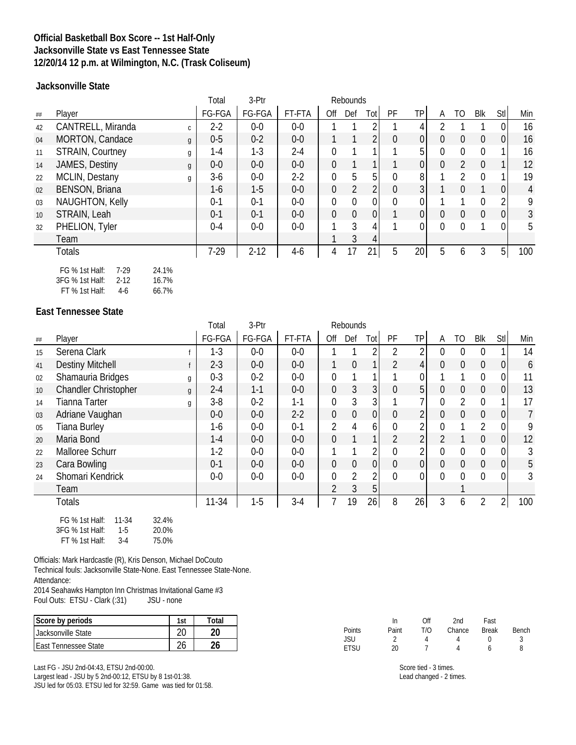### **Official Basketball Box Score -- 1st Half-Only Jacksonville State vs East Tennessee State 12/20/14 12 p.m. at Wilmington, N.C. (Trask Coliseum)**

**Jacksonville State**

|    |                                      | Total   | 3-Ptr    |         |                | Rebounds       |                |                |                |          |                  |                |                |                |
|----|--------------------------------------|---------|----------|---------|----------------|----------------|----------------|----------------|----------------|----------|------------------|----------------|----------------|----------------|
| ## | Player                               | FG-FGA  | FG-FGA   | FT-FTA  | Off            | Def            | Tot            | PF             | ТP             | A        | TO               | Blk            | Stl            | Min            |
| 42 | CANTRELL, Miranda<br>$\mathsf{C}$    | $2 - 2$ | $0-0$    | $0-0$   |                |                |                |                | 4              |          |                  |                | 0              | 16             |
| 04 | MORTON, Candace<br>$\mathfrak{g}$    | $0-5$   | $0 - 2$  | $0-0$   |                |                | $\overline{2}$ | $\overline{0}$ | $\overline{0}$ | 0        | $\overline{0}$   | $\overline{0}$ | $\overline{0}$ | 16             |
| 11 | <b>STRAIN, Courtney</b><br>g         | 1-4     | $1 - 3$  | $2 - 4$ | $\Omega$       |                |                |                | 5 <sup>1</sup> | 0        | $\Omega$         | 0              |                | 16             |
| 14 | JAMES, Destiny<br>g                  | $0-0$   | $0-0$    | $0-0$   | $\overline{0}$ | $\mathbf{1}$   |                |                | $\overline{0}$ | 0        | $\overline{2}$   | $\Omega$       |                | 12             |
| 22 | MCLIN, Destany<br>g                  | $3-6$   | $0-0$    | $2-2$   | $\overline{0}$ | 5              | 5              | 0              | 8 <sup>1</sup> |          | 2                | 0              |                | 19             |
| 02 | <b>BENSON, Briana</b>                | $1-6$   | $1-5$    | $0-0$   | $\mathbf 0$    | $\overline{2}$ | $\overline{2}$ | $\mathbf 0$    | 3              |          | $\Omega$         |                | 0              | $\overline{4}$ |
| 03 | <b>NAUGHTON, Kelly</b>               | $0 - 1$ | $0 - 1$  | $0-0$   | $\mathbf 0$    | $\mathbf{0}$   | $\overline{0}$ | $\mathbf 0$    | 0              |          |                  | $\Omega$       | 2              | 9              |
| 10 | STRAIN, Leah                         | $0 - 1$ | $0 - 1$  | $0-0$   | $\overline{0}$ | $\theta$       | 0              |                | 0              | $\Omega$ | $\boldsymbol{0}$ | 0              | $\overline{0}$ | $\mathfrak{Z}$ |
| 32 | PHELION, Tyler                       | $0 - 4$ | $0-0$    | $0-0$   |                | 3              | 4              |                | 0              | 0        | $\Omega$         |                | 0              | 5              |
|    | Team                                 |         |          |         |                | 3              | 4              |                |                |          |                  |                |                |                |
|    | <b>Totals</b>                        | $7-29$  | $2 - 12$ | $4-6$   | 4              | 17             | 21             | 5              | 20             | 5        | 6                | 3              | 5 <sup>1</sup> | 100            |
|    | FG % 1st Half:<br>$7-29$<br>24.1%    |         |          |         |                |                |                |                |                |          |                  |                |                |                |
|    | 3FG % 1st Half:<br>$2 - 12$<br>16.7% |         |          |         |                |                |                |                |                |          |                  |                |                |                |

FT % 1st Half: 4-6 66.7%

#### **East Tennessee State**

|                 |                                               | Total     | 3-Ptr   |         |                  | Rebounds         |                |                |             |                |                |                |                |                |
|-----------------|-----------------------------------------------|-----------|---------|---------|------------------|------------------|----------------|----------------|-------------|----------------|----------------|----------------|----------------|----------------|
| ##              | Player                                        | FG-FGA    | FG-FGA  | FT-FTA  | Off              | Def              | Totl           | PF             | ΤP          | Α              | TO             | <b>Blk</b>     | Stl            | Min            |
| 15              | Serena Clark                                  | $1-3$     | $0-0$   | $0-0$   |                  |                  |                |                |             | 0              | 0              | 0              |                | 14             |
| 41              | <b>Destiny Mitchell</b>                       | $2 - 3$   | $0-0$   | $0-0$   |                  | $\mathbf 0$      |                | $\overline{2}$ | 4           | $\overline{0}$ | $\mathbf 0$    | $\overline{0}$ | $\overline{0}$ | 6              |
| 02              | Shamauria Bridges<br>g                        | $0 - 3$   | $0 - 2$ | $0-0$   | $\mathbf 0$      | 1                |                |                |             |                |                | $\Omega$       | 0              | 11             |
| 10 <sup>°</sup> | <b>Chandler Christopher</b><br>$\mathfrak{g}$ | $2 - 4$   | $1 - 1$ | $0-0$   | $\mathbf 0$      | $\mathfrak{Z}$   | 3              | $\mathbf{0}$   | 5           | 0              | $\mathbf 0$    | $\overline{0}$ | $\mathbf 0$    | 13             |
| 14              | <b>Tianna Tarter</b><br>g                     | $3-8$     | $0 - 2$ | $1 - 1$ | $\mathbf 0$      | 3                | 31             |                |             | 0              | $\overline{2}$ | $\Omega$       |                | 17             |
| 03              | Adriane Vaughan                               | $0-0$     | $0-0$   | $2-2$   | $\overline{0}$   | $\boldsymbol{0}$ | 0              | $\mathbf 0$    | 2           | 0              | $\mathbf 0$    | 0              | $\overline{0}$ | $\overline{7}$ |
| 05              | <b>Tiana Burley</b>                           | 1-6       | $0-0$   | $0 - 1$ | $\overline{2}$   | 4                | 6 <sup>1</sup> | $\overline{0}$ | 2           |                |                | $\overline{2}$ | 0              | 9              |
| 20              | Maria Bond                                    | $1 - 4$   | $0-0$   | $0-0$   | $\overline{0}$   |                  |                | $\overline{2}$ | 2           |                |                | $\Omega$       | $\mathbf 0$    | 12             |
| 22              | Malloree Schurr                               | $1-2$     | $0-0$   | $0-0$   |                  |                  | $\overline{2}$ | $\overline{0}$ | C           | 0              | 0              | $\Omega$       | $\mathbf 0$    | 3              |
| 23              | Cara Bowling                                  | $0 - 1$   | $0-0$   | $0-0$   | $\boldsymbol{0}$ | $\mathbf 0$      | 0              | $\mathbf 0$    | $\mathbf 0$ | 0              | $\mathbf 0$    | $\overline{0}$ | $\mathbf 0$    | 5              |
| 24              | Shomari Kendrick                              | $0-0$     | $0-0$   | $0-0$   | $\overline{0}$   | $\overline{2}$   | $\overline{2}$ | $\mathbf{0}$   | 0           | 0              | 0              | 0              | $\mathbf 0$    | 3              |
|                 | Team                                          |           |         |         | 2                | 3                | 5 <sub>1</sub> |                |             |                |                |                |                |                |
|                 | <b>Totals</b>                                 | $11 - 34$ | $1-5$   | $3-4$   |                  | 19               | 26             | 8              | 26          | 3              | 6              | $\overline{2}$ | $\overline{2}$ | 100            |
|                 | 11-34<br>32.4%<br>$FG \%$ 1st Half            |           |         |         |                  |                  |                |                |             |                |                |                |                |                |

| FG % 1st Half:   | 11-34 | 32.4% |
|------------------|-------|-------|
| 3FG % 1st Half:  | $1-5$ | 20.0% |
| $FT$ % 1st Half: | $3-4$ | 75.0% |

Officials: Mark Hardcastle (R), Kris Denson, Michael DoCouto Technical fouls: Jacksonville State-None. East Tennessee State-None. Attendance:

2014 Seahawks Hampton Inn Christmas Invitational Game #3<br>Foul Outs: ETSU - Clark (:31) JSU - none Foul Outs: ETSU - Clark (:31)

| Score by periods             | 1ci | ั∩†ล |
|------------------------------|-----|------|
| <b>Jacksonville State</b>    |     |      |
| <b>LEast Tennessee State</b> |     |      |

Last FG - JSU 2nd-04:43, ETSU 2nd-00:00. Largest lead - JSU by 5 2nd-00:12, ETSU by 8 1st-01:38. JSU led for 05:03. ETSU led for 32:59. Game was tied for 01:58.

|        | In    | Off | 2nd    | Fast         |       |
|--------|-------|-----|--------|--------------|-------|
| Points | Paint | T/O | Chance | <b>Break</b> | Bench |
| JSU    |       |     |        |              |       |
| etsu   | 20    |     |        |              | Զ     |

Score tied - 3 times. Lead changed - 2 times.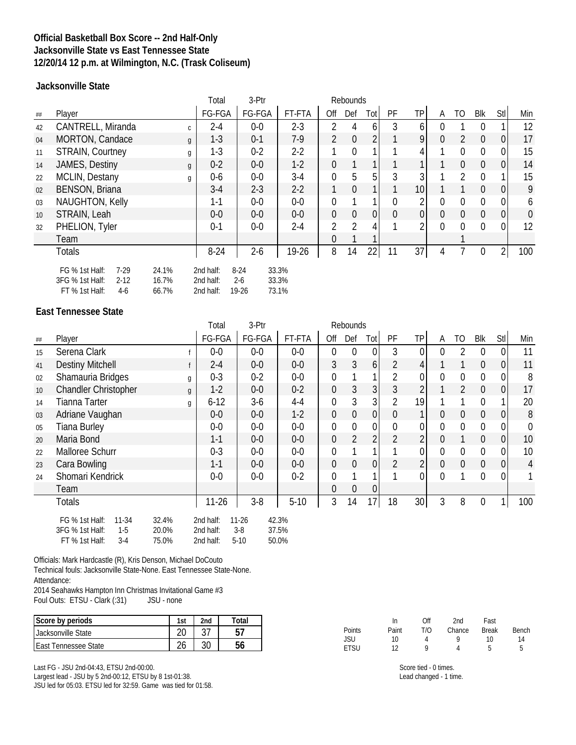### **Official Basketball Box Score -- 2nd Half-Only Jacksonville State vs East Tennessee State 12/20/14 12 p.m. at Wilmington, N.C. (Trask Coliseum)**

**Jacksonville State**

|                 |                                                                                                               |              | Total                               | 3-Ptr                        |                         |                | Rebounds       |                |                |                |          |                |                |                |             |
|-----------------|---------------------------------------------------------------------------------------------------------------|--------------|-------------------------------------|------------------------------|-------------------------|----------------|----------------|----------------|----------------|----------------|----------|----------------|----------------|----------------|-------------|
| ##              | Player                                                                                                        |              | FG-FGA                              | FG-FGA                       | FT-FTA                  | Off            | Def            | Tot            | PF             | TP             | A        | TO             | Blk            | Stl            | Min         |
| 42              | CANTRELL, Miranda                                                                                             | $\mathsf{C}$ | $2 - 4$                             | $0-0$                        | $2 - 3$                 | $\overline{2}$ | 4              | 6              | 3              | 6              |          |                |                |                | 12          |
| 04              | MORTON, Candace                                                                                               | g            | $1-3$                               | $0 - 1$                      | $7-9$                   | $\overline{2}$ | $\mathbf{0}$   | $\overline{2}$ |                | 9              | 0        | 2              | $\overline{0}$ | 0              | 17          |
| 11              | <b>STRAIN, Courtney</b>                                                                                       | g            | $1-3$                               | $0 - 2$                      | $2 - 2$                 |                | $\mathbf{0}$   |                |                | 4              |          | $\Omega$       | $\Omega$       | 0              | 15          |
| 14              | JAMES, Destiny                                                                                                | g            | $0 - 2$                             | $0-0$                        | $1-2$                   | $\overline{0}$ | $\mathbf{1}$   |                |                |                |          | $\overline{0}$ | $\overline{0}$ | $\overline{0}$ | 14          |
| 22              | <b>MCLIN, Destany</b>                                                                                         | g            | $0-6$                               | $0-0$                        | $3-4$                   | $\overline{0}$ | 5              | 5              | 3              | 3              |          | 2              | 0              |                | 15          |
| 02              | <b>BENSON, Briana</b>                                                                                         |              | $3-4$                               | $2 - 3$                      | $2 - 2$                 | 1              | $\theta$       |                |                | 10             |          |                | $\overline{0}$ | $\overline{0}$ | 9           |
| 03              | <b>NAUGHTON, Kelly</b>                                                                                        |              | $1 - 1$                             | $0-0$                        | $0-0$                   | $\Omega$       |                |                | 0              | 2              | 0        | $\mathbf 0$    | $\Omega$       | $\overline{0}$ | 6           |
| 10 <sup>°</sup> | STRAIN, Leah                                                                                                  |              | $0-0$                               | $0-0$                        | $0-0$                   | $\overline{0}$ | $\mathbf{0}$   | $\overline{0}$ | $\overline{0}$ | 0              | 0        | $\overline{0}$ | $\overline{0}$ | $\overline{0}$ | $\mathbf 0$ |
| 32              | PHELION, Tyler                                                                                                |              | $0 - 1$                             | $0-0$                        | $2 - 4$                 | 2              | $\overline{2}$ | 4              |                | $\overline{2}$ | $\Omega$ | $\Omega$       | 0              | $\overline{0}$ | 12          |
|                 | Team                                                                                                          |              |                                     |                              |                         | $\Omega$       |                |                |                |                |          |                |                |                |             |
|                 | <b>Totals</b>                                                                                                 |              | $8 - 24$                            | $2-6$                        | 19-26                   | 8              | 14             | 22             | 11             | 37             | 4        |                | 0              | $\overline{2}$ | 100         |
|                 | FG % 1st Half:<br>$7-29$<br>24.1%<br>3FG % 1st Half:<br>$2 - 12$<br>16.7%<br>FT % 1st Half:<br>$4-6$<br>66.7% |              | 2nd half:<br>2nd half:<br>2nd half: | $8 - 24$<br>$2 - 6$<br>19-26 | 33.3%<br>33.3%<br>73.1% |                |                |                |                |                |          |                |                |                |             |

#### **East Tennessee State**

|                 |                                                                                    |                         | Total                               | 3-Ptr                        |                         |                  | <b>Rebounds</b>  |                |                |                |                |                |                |                |                |
|-----------------|------------------------------------------------------------------------------------|-------------------------|-------------------------------------|------------------------------|-------------------------|------------------|------------------|----------------|----------------|----------------|----------------|----------------|----------------|----------------|----------------|
| ##              | Player                                                                             |                         | FG-FGA                              | FG-FGA                       | FT-FTA                  | Off              | Def              | Tot            | PF             | TP             | A              | TO             | Blk            | Stl            | Min            |
| 15              | Serena Clark                                                                       |                         | $0-0$                               | $0-0$                        | $0-0$                   | $\boldsymbol{0}$ | $\mathbf 0$      | $\mathbf{0}$   | 3              | $\overline{0}$ | $\Omega$       | 2              | $\theta$       | $\overline{0}$ | 11             |
| 41              | <b>Destiny Mitchell</b>                                                            | f                       | $2 - 4$                             | $0-0$                        | $0-0$                   | $\mathfrak{Z}$   | $\mathfrak{Z}$   | 6 <sup>1</sup> | $\overline{2}$ | 4              |                |                | $\overline{0}$ | $\overline{0}$ | 11             |
| 02              | Shamauria Bridges                                                                  | g                       | $0 - 3$                             | $0 - 2$                      | $0-0$                   | $\mathbf 0$      |                  |                | $\overline{2}$ | 0              | $\Omega$       | $\overline{0}$ | 0              | $\mathbf 0$    | 8              |
| 10 <sup>°</sup> | <b>Chandler Christopher</b>                                                        | $\mathfrak{g}$          | $1-2$                               | $0-0$                        | $0 - 2$                 | $\mathbf 0$      | $\mathfrak{Z}$   | 3 <sup>1</sup> | 3              | $\overline{2}$ |                | $\overline{2}$ | $\mathbf 0$    | $\overline{0}$ | 17             |
| 14              | <b>Tianna Tarter</b>                                                               | g                       | $6 - 12$                            | $3-6$                        | $4 - 4$                 | $\mathbf 0$      | 3                | $\overline{3}$ | $\overline{2}$ | 19             |                |                | 0              | 1              | 20             |
| 03              | Adriane Vaughan                                                                    |                         | $0-0$                               | $0-0$                        | $1-2$                   | $\mathbf 0$      | $\boldsymbol{0}$ | $\overline{0}$ | $\mathbf 0$    | 1              | $\overline{0}$ | $\mathbf 0$    | $\overline{0}$ | $\overline{0}$ | 8              |
| 05              | <b>Tiana Burley</b>                                                                |                         | $0-0$                               | $0-0$                        | $0-0$                   | $\boldsymbol{0}$ | $\mathbf 0$      | $\overline{0}$ | $\mathbf 0$    | 0              | $\mathbf{0}$   | $\mathbf 0$    | $\overline{0}$ | 0              | $\mathbf 0$    |
| 20              | Maria Bond                                                                         |                         | $1 - 1$                             | $0-0$                        | $0-0$                   | $\mathbf 0$      | $\overline{2}$   | 2 <sub>l</sub> | $\overline{2}$ | $\overline{2}$ | $\Omega$       | 1              | $\overline{0}$ | $\overline{0}$ | 10             |
| 22              | Malloree Schurr                                                                    |                         | $0 - 3$                             | $0-0$                        | $0-0$                   | $\overline{0}$   |                  |                |                | 0              | $\overline{0}$ | $\mathbf 0$    | $\overline{0}$ | $\mathbf 0$    | 10             |
| 23              | Cara Bowling                                                                       |                         | $1 - 1$                             | $0-0$                        | $0-0$                   | $\mathbf 0$      | $\mathbf 0$      | $\overline{0}$ | $\overline{2}$ | $\overline{2}$ | $\overline{0}$ | $\mathbf 0$    | $\overline{0}$ | $\overline{0}$ | $\overline{4}$ |
| 24              | Shomari Kendrick                                                                   |                         | $0-0$                               | $0-0$                        | $0 - 2$                 | 0                |                  |                |                | 0              | $\Omega$       |                | 0              | $\overline{0}$ |                |
|                 | Team                                                                               |                         |                                     |                              |                         | $\overline{0}$   | $\mathbf 0$      | $\overline{0}$ |                |                |                |                |                |                |                |
|                 | Totals                                                                             |                         | $11 - 26$                           | $3-8$                        | $5-10$                  | 3                | 14               | 17             | 18             | 30             | 3              | 8              | $\overline{0}$ |                | 100            |
|                 | FG % 1st Half:<br>$11 - 34$<br>3FG % 1st Half:<br>$1-5$<br>FT % 1st Half:<br>$3-4$ | 32.4%<br>20.0%<br>75.0% | 2nd half:<br>2nd half:<br>2nd half: | $11 - 26$<br>$3-8$<br>$5-10$ | 42.3%<br>37.5%<br>50.0% |                  |                  |                |                |                |                |                |                |                |                |

Officials: Mark Hardcastle (R), Kris Denson, Michael DoCouto

Technical fouls: Jacksonville State-None. East Tennessee State-None. Attendance:

2014 Seahawks Hampton Inn Christmas Invitational Game #3<br>Foul Outs: ETSU - Clark (:31) JSU - none Foul Outs: ETSU - Clark (:31)

| Score by periods      | 1st    | 2nd | otal |
|-----------------------|--------|-----|------|
| Lacksonville State    |        |     |      |
| LEast Tennessee State | $\sim$ |     |      |

Last FG - JSU 2nd-04:43, ETSU 2nd-00:00. Largest lead - JSU by 5 2nd-00:12, ETSU by 8 1st-01:38. JSU led for 05:03. ETSU led for 32:59. Game was tied for 01:58.

|        | In    | Off | 2nd    | Fast         |       |
|--------|-------|-----|--------|--------------|-------|
| Points | Paint | T/O | Chance | <b>Break</b> | Bench |
| JSU    | 10    |     | o      | 10           | 14    |
| etsu   | 12    | a   |        | 5            |       |

Score tied - 0 times. Lead changed - 1 time.